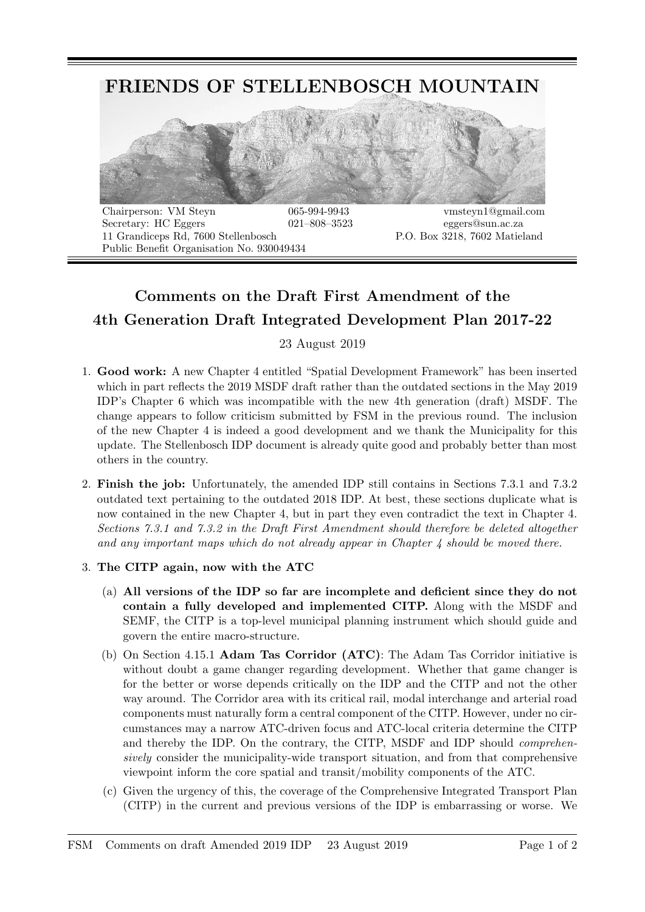

Secretary: HC Eggers  $021-808-3523$  eggers@sun.ac.za 11 Grandiceps Rd, 7600 Stellenbosch P.O. Box 3218, 7602 Matieland Public Benefit Organisation No. 930049434

## Comments on the Draft First Amendment of the 4th Generation Draft Integrated Development Plan 2017-22

23 August 2019

- 1. Good work: A new Chapter 4 entitled "Spatial Development Framework" has been inserted which in part reflects the 2019 MSDF draft rather than the outdated sections in the May 2019 IDP's Chapter 6 which was incompatible with the new 4th generation (draft) MSDF. The change appears to follow criticism submitted by FSM in the previous round. The inclusion of the new Chapter 4 is indeed a good development and we thank the Municipality for this update. The Stellenbosch IDP document is already quite good and probably better than most others in the country.
- 2. Finish the job: Unfortunately, the amended IDP still contains in Sections 7.3.1 and 7.3.2 outdated text pertaining to the outdated 2018 IDP. At best, these sections duplicate what is now contained in the new Chapter 4, but in part they even contradict the text in Chapter 4. Sections 7.3.1 and 7.3.2 in the Draft First Amendment should therefore be deleted altogether and any important maps which do not already appear in Chapter  $\lambda$  should be moved there.
- 3. The CITP again, now with the ATC
	- (a) All versions of the IDP so far are incomplete and deficient since they do not contain a fully developed and implemented CITP. Along with the MSDF and SEMF, the CITP is a top-level municipal planning instrument which should guide and govern the entire macro-structure.
	- (b) On Section 4.15.1 Adam Tas Corridor (ATC): The Adam Tas Corridor initiative is without doubt a game changer regarding development. Whether that game changer is for the better or worse depends critically on the IDP and the CITP and not the other way around. The Corridor area with its critical rail, modal interchange and arterial road components must naturally form a central component of the CITP. However, under no circumstances may a narrow ATC-driven focus and ATC-local criteria determine the CITP and thereby the IDP. On the contrary, the CITP, MSDF and IDP should comprehensively consider the municipality-wide transport situation, and from that comprehensive viewpoint inform the core spatial and transit/mobility components of the ATC.
	- (c) Given the urgency of this, the coverage of the Comprehensive Integrated Transport Plan (CITP) in the current and previous versions of the IDP is embarrassing or worse. We